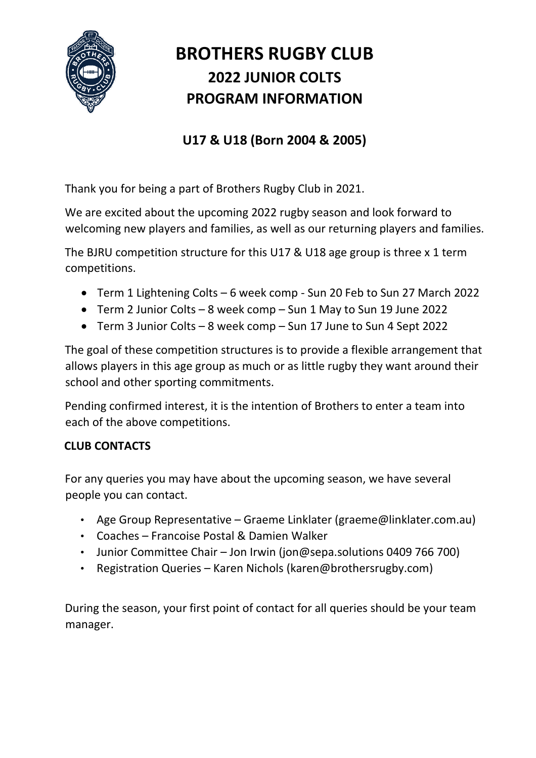

# **BROTHERS RUGBY CLUB 2022 JUNIOR COLTS PROGRAM INFORMATION**

# **U17 & U18 (Born 2004 & 2005)**

Thank you for being a part of Brothers Rugby Club in 2021.

We are excited about the upcoming 2022 rugby season and look forward to welcoming new players and families, as well as our returning players and families.

The BJRU competition structure for this U17 & U18 age group is three x 1 term competitions.

- Term 1 Lightening Colts 6 week comp Sun 20 Feb to Sun 27 March 2022
- Term 2 Junior Colts 8 week comp Sun 1 May to Sun 19 June 2022
- Term 3 Junior Colts 8 week comp Sun 17 June to Sun 4 Sept 2022

The goal of these competition structures is to provide a flexible arrangement that allows players in this age group as much or as little rugby they want around their school and other sporting commitments.

Pending confirmed interest, it is the intention of Brothers to enter a team into each of the above competitions.

# **CLUB CONTACTS**

For any queries you may have about the upcoming season, we have several people you can contact.

- Age Group Representative Graeme Linklater (graeme@linklater.com.au)
- Coaches Francoise Postal & Damien Walker
- Junior Committee Chair Jon Irwin (jon@sepa.solutions 0409 766 700)
- Registration Queries Karen Nichols (karen@brothersrugby.com)

During the season, your first point of contact for all queries should be your team manager.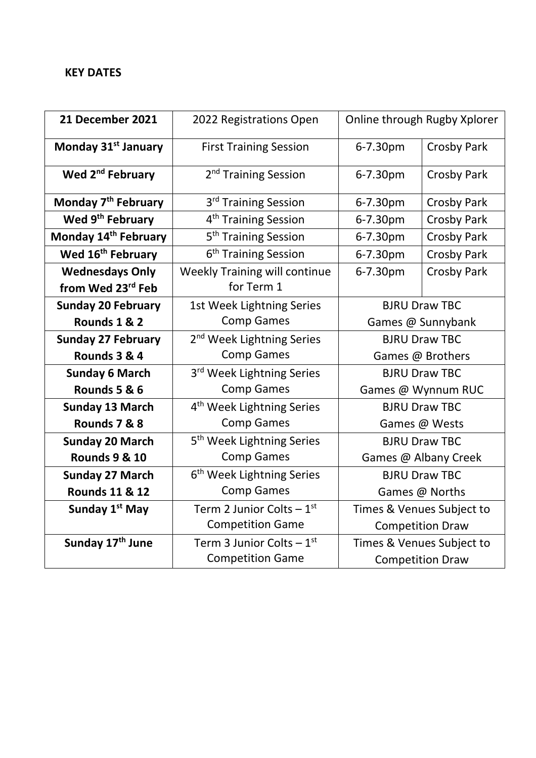#### **KEY DATES**

| 21 December 2021                 | 2022 Registrations Open               | Online through Rugby Xplorer |                    |
|----------------------------------|---------------------------------------|------------------------------|--------------------|
| Monday 31 <sup>st</sup> January  | <b>First Training Session</b>         | 6-7.30pm                     | <b>Crosby Park</b> |
| Wed 2 <sup>nd</sup> February     | 2 <sup>nd</sup> Training Session      | 6-7.30pm                     | <b>Crosby Park</b> |
| Monday 7 <sup>th</sup> February  | 3 <sup>rd</sup> Training Session      | 6-7.30pm                     | <b>Crosby Park</b> |
| Wed 9 <sup>th</sup> February     | 4 <sup>th</sup> Training Session      | 6-7.30pm                     | <b>Crosby Park</b> |
| Monday 14 <sup>th</sup> February | 5 <sup>th</sup> Training Session      | 6-7.30pm                     | <b>Crosby Park</b> |
| Wed 16 <sup>th</sup> February    | 6 <sup>th</sup> Training Session      | 6-7.30pm                     | <b>Crosby Park</b> |
| <b>Wednesdays Only</b>           | <b>Weekly Training will continue</b>  | 6-7.30pm                     | <b>Crosby Park</b> |
| from Wed 23rd Feb                | for Term 1                            |                              |                    |
| <b>Sunday 20 February</b>        | 1st Week Lightning Series             | <b>BJRU Draw TBC</b>         |                    |
| Rounds 1 & 2                     | <b>Comp Games</b>                     | Games @ Sunnybank            |                    |
| <b>Sunday 27 February</b>        | 2 <sup>nd</sup> Week Lightning Series | <b>BJRU Draw TBC</b>         |                    |
| Rounds 3 & 4                     | <b>Comp Games</b>                     | Games @ Brothers             |                    |
| <b>Sunday 6 March</b>            | 3 <sup>rd</sup> Week Lightning Series | <b>BJRU Draw TBC</b>         |                    |
| Rounds 5 & 6                     | <b>Comp Games</b>                     | Games @ Wynnum RUC           |                    |
| <b>Sunday 13 March</b>           | 4 <sup>th</sup> Week Lightning Series | <b>BJRU Draw TBC</b>         |                    |
| Rounds 7 & 8                     | <b>Comp Games</b>                     | Games @ Wests                |                    |
| <b>Sunday 20 March</b>           | 5 <sup>th</sup> Week Lightning Series | <b>BJRU Draw TBC</b>         |                    |
| <b>Rounds 9 &amp; 10</b>         | <b>Comp Games</b>                     | Games @ Albany Creek         |                    |
| <b>Sunday 27 March</b>           | 6 <sup>th</sup> Week Lightning Series | <b>BJRU Draw TBC</b>         |                    |
| <b>Rounds 11 &amp; 12</b>        | <b>Comp Games</b>                     | Games @ Norths               |                    |
| Sunday 1 <sup>st</sup> May       | Term 2 Junior Colts $-1^{st}$         | Times & Venues Subject to    |                    |
|                                  | <b>Competition Game</b>               | <b>Competition Draw</b>      |                    |
| Sunday 17 <sup>th</sup> June     | Term 3 Junior Colts $-1st$            | Times & Venues Subject to    |                    |
|                                  | <b>Competition Game</b>               | <b>Competition Draw</b>      |                    |